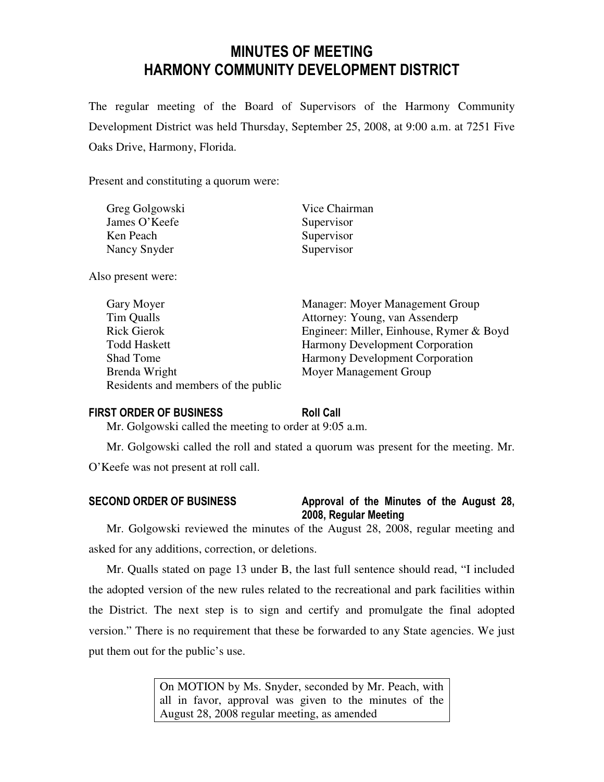# MINUTES OF MEETING HARMONY COMMUNITY DEVELOPMENT DISTRICT

The regular meeting of the Board of Supervisors of the Harmony Community Development District was held Thursday, September 25, 2008, at 9:00 a.m. at 7251 Five Oaks Drive, Harmony, Florida.

Present and constituting a quorum were:

| Greg Golgowski | Vice Chairman |
|----------------|---------------|
| James O'Keefe  | Supervisor    |
| Ken Peach      | Supervisor    |
| Nancy Snyder   | Supervisor    |

Also present were:

| Gary Moyer                          | Manager: Moyer Management Group          |
|-------------------------------------|------------------------------------------|
| Tim Qualls                          | Attorney: Young, van Assenderp           |
| <b>Rick Gierok</b>                  | Engineer: Miller, Einhouse, Rymer & Boyd |
| <b>Todd Haskett</b>                 | <b>Harmony Development Corporation</b>   |
| Shad Tome                           | <b>Harmony Development Corporation</b>   |
| Brenda Wright                       | Moyer Management Group                   |
| Residents and members of the public |                                          |

#### FIRST ORDER OF BUSINESS Roll Call

Mr. Golgowski called the meeting to order at 9:05 a.m.

Mr. Golgowski called the roll and stated a quorum was present for the meeting. Mr. O'Keefe was not present at roll call.

# SECOND ORDER OF BUSINESS Approval of the Minutes of the August 28, 2008, Regular Meeting

Mr. Golgowski reviewed the minutes of the August 28, 2008, regular meeting and asked for any additions, correction, or deletions.

Mr. Qualls stated on page 13 under B, the last full sentence should read, "I included the adopted version of the new rules related to the recreational and park facilities within the District. The next step is to sign and certify and promulgate the final adopted version." There is no requirement that these be forwarded to any State agencies. We just put them out for the public's use.

> On MOTION by Ms. Snyder, seconded by Mr. Peach, with all in favor, approval was given to the minutes of the August 28, 2008 regular meeting, as amended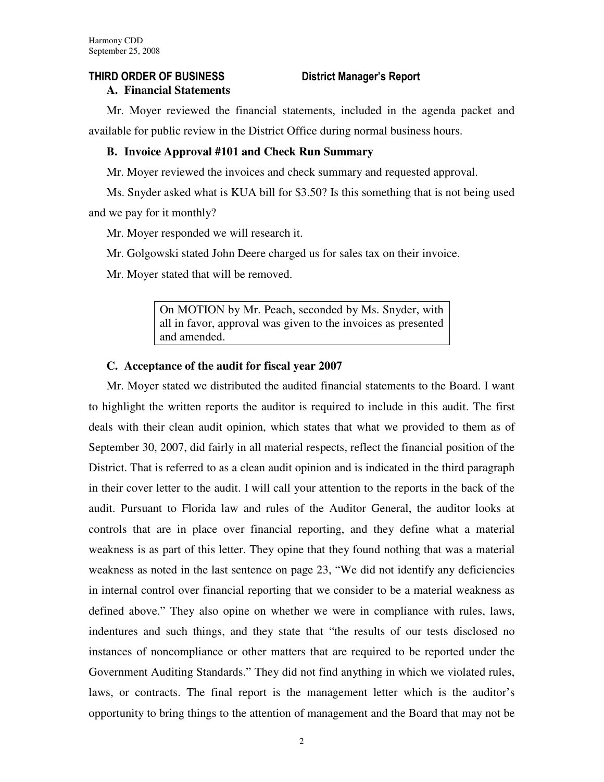# THIRD ORDER OF BUSINESS District Manager's Report

# **A. Financial Statements**

Mr. Moyer reviewed the financial statements, included in the agenda packet and available for public review in the District Office during normal business hours.

# **B. Invoice Approval #101 and Check Run Summary**

Mr. Moyer reviewed the invoices and check summary and requested approval.

Ms. Snyder asked what is KUA bill for \$3.50? Is this something that is not being used and we pay for it monthly?

Mr. Moyer responded we will research it.

Mr. Golgowski stated John Deere charged us for sales tax on their invoice.

Mr. Moyer stated that will be removed.

On MOTION by Mr. Peach, seconded by Ms. Snyder, with all in favor, approval was given to the invoices as presented and amended.

### **C. Acceptance of the audit for fiscal year 2007**

Mr. Moyer stated we distributed the audited financial statements to the Board. I want to highlight the written reports the auditor is required to include in this audit. The first deals with their clean audit opinion, which states that what we provided to them as of September 30, 2007, did fairly in all material respects, reflect the financial position of the District. That is referred to as a clean audit opinion and is indicated in the third paragraph in their cover letter to the audit. I will call your attention to the reports in the back of the audit. Pursuant to Florida law and rules of the Auditor General, the auditor looks at controls that are in place over financial reporting, and they define what a material weakness is as part of this letter. They opine that they found nothing that was a material weakness as noted in the last sentence on page 23, "We did not identify any deficiencies in internal control over financial reporting that we consider to be a material weakness as defined above." They also opine on whether we were in compliance with rules, laws, indentures and such things, and they state that "the results of our tests disclosed no instances of noncompliance or other matters that are required to be reported under the Government Auditing Standards." They did not find anything in which we violated rules, laws, or contracts. The final report is the management letter which is the auditor's opportunity to bring things to the attention of management and the Board that may not be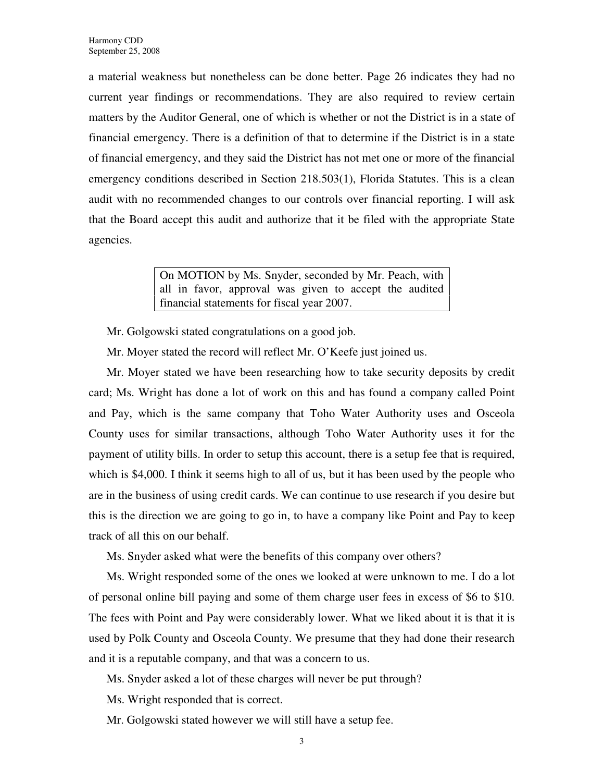a material weakness but nonetheless can be done better. Page 26 indicates they had no current year findings or recommendations. They are also required to review certain matters by the Auditor General, one of which is whether or not the District is in a state of financial emergency. There is a definition of that to determine if the District is in a state of financial emergency, and they said the District has not met one or more of the financial emergency conditions described in Section 218.503(1), Florida Statutes. This is a clean audit with no recommended changes to our controls over financial reporting. I will ask that the Board accept this audit and authorize that it be filed with the appropriate State agencies.

> On MOTION by Ms. Snyder, seconded by Mr. Peach, with all in favor, approval was given to accept the audited financial statements for fiscal year 2007.

Mr. Golgowski stated congratulations on a good job.

Mr. Moyer stated the record will reflect Mr. O'Keefe just joined us.

Mr. Moyer stated we have been researching how to take security deposits by credit card; Ms. Wright has done a lot of work on this and has found a company called Point and Pay, which is the same company that Toho Water Authority uses and Osceola County uses for similar transactions, although Toho Water Authority uses it for the payment of utility bills. In order to setup this account, there is a setup fee that is required, which is \$4,000. I think it seems high to all of us, but it has been used by the people who are in the business of using credit cards. We can continue to use research if you desire but this is the direction we are going to go in, to have a company like Point and Pay to keep track of all this on our behalf.

Ms. Snyder asked what were the benefits of this company over others?

Ms. Wright responded some of the ones we looked at were unknown to me. I do a lot of personal online bill paying and some of them charge user fees in excess of \$6 to \$10. The fees with Point and Pay were considerably lower. What we liked about it is that it is used by Polk County and Osceola County. We presume that they had done their research and it is a reputable company, and that was a concern to us.

Ms. Snyder asked a lot of these charges will never be put through?

Ms. Wright responded that is correct.

Mr. Golgowski stated however we will still have a setup fee.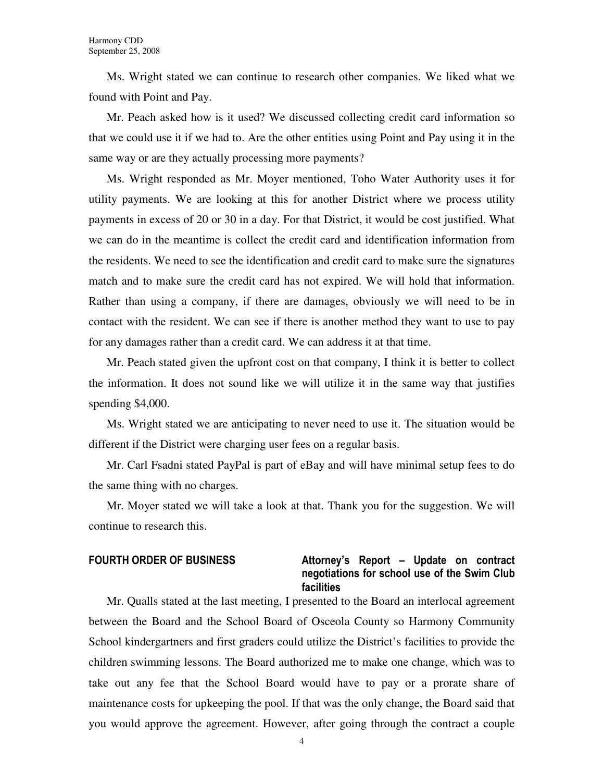Ms. Wright stated we can continue to research other companies. We liked what we found with Point and Pay.

Mr. Peach asked how is it used? We discussed collecting credit card information so that we could use it if we had to. Are the other entities using Point and Pay using it in the same way or are they actually processing more payments?

Ms. Wright responded as Mr. Moyer mentioned, Toho Water Authority uses it for utility payments. We are looking at this for another District where we process utility payments in excess of 20 or 30 in a day. For that District, it would be cost justified. What we can do in the meantime is collect the credit card and identification information from the residents. We need to see the identification and credit card to make sure the signatures match and to make sure the credit card has not expired. We will hold that information. Rather than using a company, if there are damages, obviously we will need to be in contact with the resident. We can see if there is another method they want to use to pay for any damages rather than a credit card. We can address it at that time.

Mr. Peach stated given the upfront cost on that company, I think it is better to collect the information. It does not sound like we will utilize it in the same way that justifies spending \$4,000.

Ms. Wright stated we are anticipating to never need to use it. The situation would be different if the District were charging user fees on a regular basis.

Mr. Carl Fsadni stated PayPal is part of eBay and will have minimal setup fees to do the same thing with no charges.

Mr. Moyer stated we will take a look at that. Thank you for the suggestion. We will continue to research this.

### FOURTH ORDER OF BUSINESS Attorney's Report - Update on contract negotiations for school use of the Swim Club facilities

Mr. Qualls stated at the last meeting, I presented to the Board an interlocal agreement between the Board and the School Board of Osceola County so Harmony Community School kindergartners and first graders could utilize the District's facilities to provide the children swimming lessons. The Board authorized me to make one change, which was to take out any fee that the School Board would have to pay or a prorate share of maintenance costs for upkeeping the pool. If that was the only change, the Board said that you would approve the agreement. However, after going through the contract a couple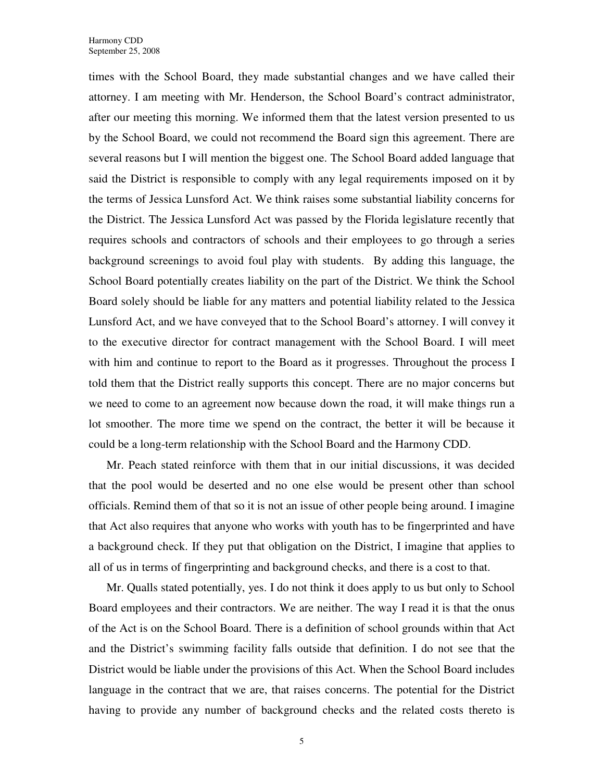times with the School Board, they made substantial changes and we have called their attorney. I am meeting with Mr. Henderson, the School Board's contract administrator, after our meeting this morning. We informed them that the latest version presented to us by the School Board, we could not recommend the Board sign this agreement. There are several reasons but I will mention the biggest one. The School Board added language that said the District is responsible to comply with any legal requirements imposed on it by the terms of Jessica Lunsford Act. We think raises some substantial liability concerns for the District. The Jessica Lunsford Act was passed by the Florida legislature recently that requires schools and contractors of schools and their employees to go through a series background screenings to avoid foul play with students. By adding this language, the School Board potentially creates liability on the part of the District. We think the School Board solely should be liable for any matters and potential liability related to the Jessica Lunsford Act, and we have conveyed that to the School Board's attorney. I will convey it to the executive director for contract management with the School Board. I will meet with him and continue to report to the Board as it progresses. Throughout the process I told them that the District really supports this concept. There are no major concerns but we need to come to an agreement now because down the road, it will make things run a lot smoother. The more time we spend on the contract, the better it will be because it could be a long-term relationship with the School Board and the Harmony CDD.

Mr. Peach stated reinforce with them that in our initial discussions, it was decided that the pool would be deserted and no one else would be present other than school officials. Remind them of that so it is not an issue of other people being around. I imagine that Act also requires that anyone who works with youth has to be fingerprinted and have a background check. If they put that obligation on the District, I imagine that applies to all of us in terms of fingerprinting and background checks, and there is a cost to that.

Mr. Qualls stated potentially, yes. I do not think it does apply to us but only to School Board employees and their contractors. We are neither. The way I read it is that the onus of the Act is on the School Board. There is a definition of school grounds within that Act and the District's swimming facility falls outside that definition. I do not see that the District would be liable under the provisions of this Act. When the School Board includes language in the contract that we are, that raises concerns. The potential for the District having to provide any number of background checks and the related costs thereto is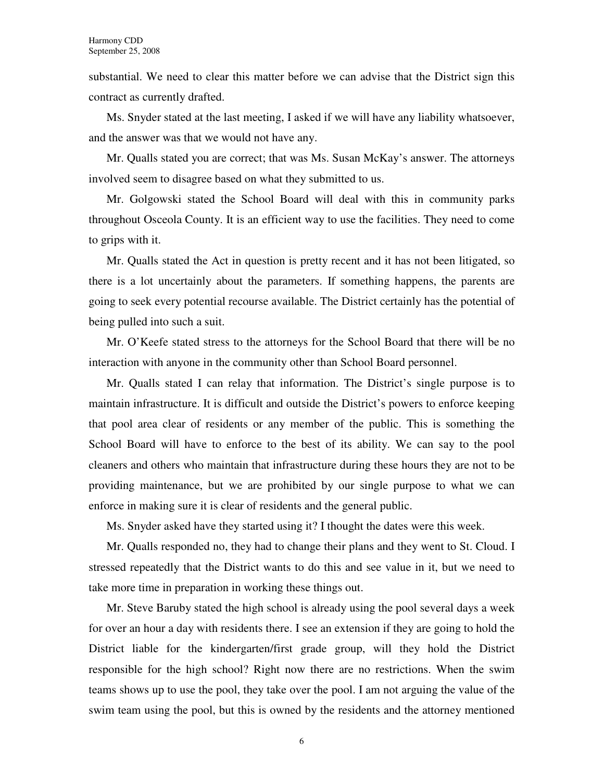substantial. We need to clear this matter before we can advise that the District sign this contract as currently drafted.

Ms. Snyder stated at the last meeting, I asked if we will have any liability whatsoever, and the answer was that we would not have any.

Mr. Qualls stated you are correct; that was Ms. Susan McKay's answer. The attorneys involved seem to disagree based on what they submitted to us.

Mr. Golgowski stated the School Board will deal with this in community parks throughout Osceola County. It is an efficient way to use the facilities. They need to come to grips with it.

Mr. Qualls stated the Act in question is pretty recent and it has not been litigated, so there is a lot uncertainly about the parameters. If something happens, the parents are going to seek every potential recourse available. The District certainly has the potential of being pulled into such a suit.

Mr. O'Keefe stated stress to the attorneys for the School Board that there will be no interaction with anyone in the community other than School Board personnel.

Mr. Qualls stated I can relay that information. The District's single purpose is to maintain infrastructure. It is difficult and outside the District's powers to enforce keeping that pool area clear of residents or any member of the public. This is something the School Board will have to enforce to the best of its ability. We can say to the pool cleaners and others who maintain that infrastructure during these hours they are not to be providing maintenance, but we are prohibited by our single purpose to what we can enforce in making sure it is clear of residents and the general public.

Ms. Snyder asked have they started using it? I thought the dates were this week.

Mr. Qualls responded no, they had to change their plans and they went to St. Cloud. I stressed repeatedly that the District wants to do this and see value in it, but we need to take more time in preparation in working these things out.

Mr. Steve Baruby stated the high school is already using the pool several days a week for over an hour a day with residents there. I see an extension if they are going to hold the District liable for the kindergarten/first grade group, will they hold the District responsible for the high school? Right now there are no restrictions. When the swim teams shows up to use the pool, they take over the pool. I am not arguing the value of the swim team using the pool, but this is owned by the residents and the attorney mentioned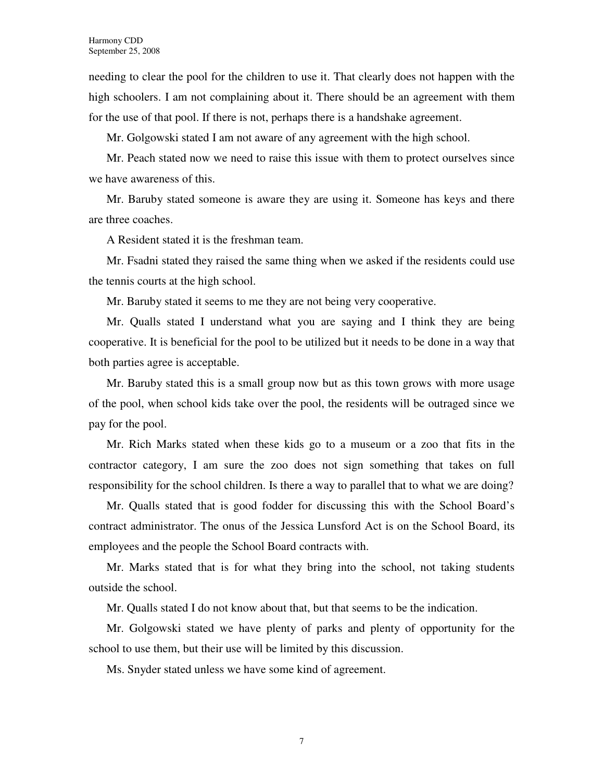needing to clear the pool for the children to use it. That clearly does not happen with the high schoolers. I am not complaining about it. There should be an agreement with them for the use of that pool. If there is not, perhaps there is a handshake agreement.

Mr. Golgowski stated I am not aware of any agreement with the high school.

Mr. Peach stated now we need to raise this issue with them to protect ourselves since we have awareness of this.

Mr. Baruby stated someone is aware they are using it. Someone has keys and there are three coaches.

A Resident stated it is the freshman team.

Mr. Fsadni stated they raised the same thing when we asked if the residents could use the tennis courts at the high school.

Mr. Baruby stated it seems to me they are not being very cooperative.

Mr. Qualls stated I understand what you are saying and I think they are being cooperative. It is beneficial for the pool to be utilized but it needs to be done in a way that both parties agree is acceptable.

Mr. Baruby stated this is a small group now but as this town grows with more usage of the pool, when school kids take over the pool, the residents will be outraged since we pay for the pool.

Mr. Rich Marks stated when these kids go to a museum or a zoo that fits in the contractor category, I am sure the zoo does not sign something that takes on full responsibility for the school children. Is there a way to parallel that to what we are doing?

Mr. Qualls stated that is good fodder for discussing this with the School Board's contract administrator. The onus of the Jessica Lunsford Act is on the School Board, its employees and the people the School Board contracts with.

Mr. Marks stated that is for what they bring into the school, not taking students outside the school.

Mr. Qualls stated I do not know about that, but that seems to be the indication.

Mr. Golgowski stated we have plenty of parks and plenty of opportunity for the school to use them, but their use will be limited by this discussion.

Ms. Snyder stated unless we have some kind of agreement.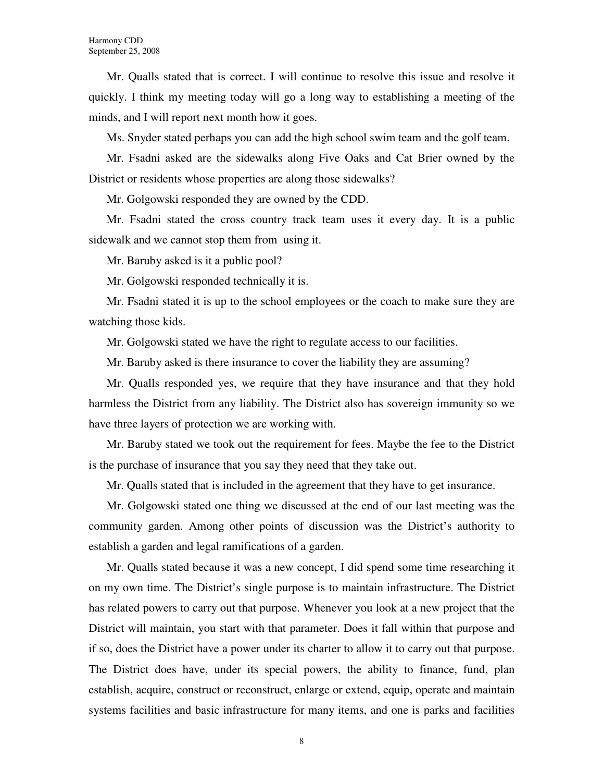Mr. Qualls stated that is correct. I will continue to resolve this issue and resolve it quickly. I think my meeting today will go a long way to establishing a meeting of the minds, and I will report next month how it goes.

Ms. Snyder stated perhaps you can add the high school swim team and the golf team.

Mr. Fsadni asked are the sidewalks along Five Oaks and Cat Brier owned by the District or residents whose properties are along those sidewalks?

Mr. Golgowski responded they are owned by the CDD.

Mr. Fsadni stated the cross country track team uses it every day. It is a public sidewalk and we cannot stop them from using it.

Mr. Baruby asked is it a public pool?

Mr. Golgowski responded technically it is.

Mr. Fsadni stated it is up to the school employees or the coach to make sure they are watching those kids.

Mr. Golgowski stated we have the right to regulate access to our facilities.

Mr. Baruby asked is there insurance to cover the liability they are assuming?

Mr. Qualls responded yes, we require that they have insurance and that they hold harmless the District from any liability. The District also has sovereign immunity so we have three layers of protection we are working with.

Mr. Baruby stated we took out the requirement for fees. Maybe the fee to the District is the purchase of insurance that you say they need that they take out.

Mr. Qualls stated that is included in the agreement that they have to get insurance.

Mr. Golgowski stated one thing we discussed at the end of our last meeting was the community garden. Among other points of discussion was the District's authority to establish a garden and legal ramifications of a garden.

Mr. Qualls stated because it was a new concept, I did spend some time researching it on my own time. The District's single purpose is to maintain infrastructure. The District has related powers to carry out that purpose. Whenever you look at a new project that the District will maintain, you start with that parameter. Does it fall within that purpose and if so, does the District have a power under its charter to allow it to carry out that purpose. The District does have, under its special powers, the ability to finance, fund, plan establish, acquire, construct or reconstruct, enlarge or extend, equip, operate and maintain systems facilities and basic infrastructure for many items, and one is parks and facilities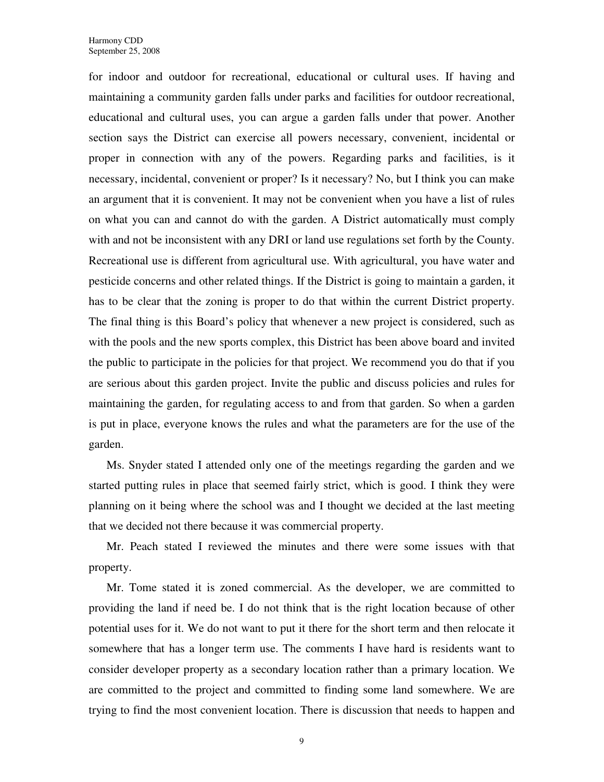for indoor and outdoor for recreational, educational or cultural uses. If having and maintaining a community garden falls under parks and facilities for outdoor recreational, educational and cultural uses, you can argue a garden falls under that power. Another section says the District can exercise all powers necessary, convenient, incidental or proper in connection with any of the powers. Regarding parks and facilities, is it necessary, incidental, convenient or proper? Is it necessary? No, but I think you can make an argument that it is convenient. It may not be convenient when you have a list of rules on what you can and cannot do with the garden. A District automatically must comply with and not be inconsistent with any DRI or land use regulations set forth by the County. Recreational use is different from agricultural use. With agricultural, you have water and pesticide concerns and other related things. If the District is going to maintain a garden, it has to be clear that the zoning is proper to do that within the current District property. The final thing is this Board's policy that whenever a new project is considered, such as with the pools and the new sports complex, this District has been above board and invited the public to participate in the policies for that project. We recommend you do that if you are serious about this garden project. Invite the public and discuss policies and rules for maintaining the garden, for regulating access to and from that garden. So when a garden is put in place, everyone knows the rules and what the parameters are for the use of the garden.

Ms. Snyder stated I attended only one of the meetings regarding the garden and we started putting rules in place that seemed fairly strict, which is good. I think they were planning on it being where the school was and I thought we decided at the last meeting that we decided not there because it was commercial property.

Mr. Peach stated I reviewed the minutes and there were some issues with that property.

Mr. Tome stated it is zoned commercial. As the developer, we are committed to providing the land if need be. I do not think that is the right location because of other potential uses for it. We do not want to put it there for the short term and then relocate it somewhere that has a longer term use. The comments I have hard is residents want to consider developer property as a secondary location rather than a primary location. We are committed to the project and committed to finding some land somewhere. We are trying to find the most convenient location. There is discussion that needs to happen and

9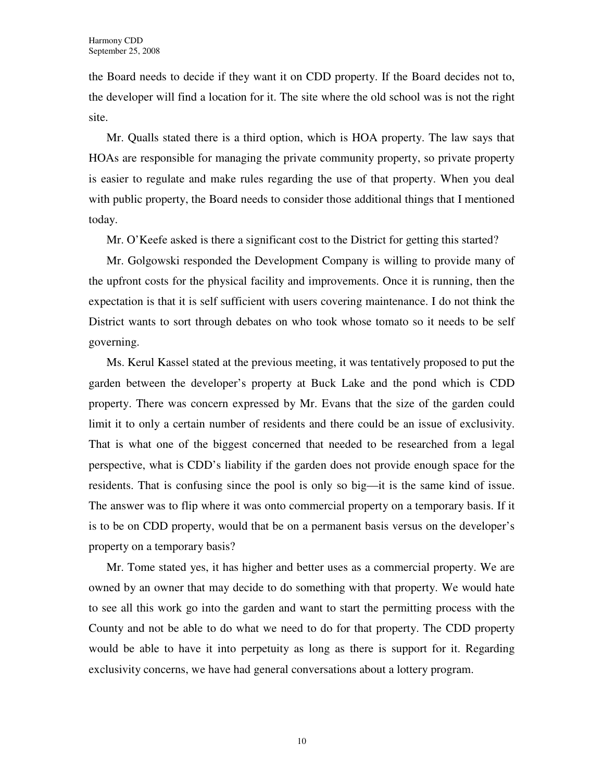the Board needs to decide if they want it on CDD property. If the Board decides not to, the developer will find a location for it. The site where the old school was is not the right site.

Mr. Qualls stated there is a third option, which is HOA property. The law says that HOAs are responsible for managing the private community property, so private property is easier to regulate and make rules regarding the use of that property. When you deal with public property, the Board needs to consider those additional things that I mentioned today.

Mr. O'Keefe asked is there a significant cost to the District for getting this started?

Mr. Golgowski responded the Development Company is willing to provide many of the upfront costs for the physical facility and improvements. Once it is running, then the expectation is that it is self sufficient with users covering maintenance. I do not think the District wants to sort through debates on who took whose tomato so it needs to be self governing.

Ms. Kerul Kassel stated at the previous meeting, it was tentatively proposed to put the garden between the developer's property at Buck Lake and the pond which is CDD property. There was concern expressed by Mr. Evans that the size of the garden could limit it to only a certain number of residents and there could be an issue of exclusivity. That is what one of the biggest concerned that needed to be researched from a legal perspective, what is CDD's liability if the garden does not provide enough space for the residents. That is confusing since the pool is only so big—it is the same kind of issue. The answer was to flip where it was onto commercial property on a temporary basis. If it is to be on CDD property, would that be on a permanent basis versus on the developer's property on a temporary basis?

Mr. Tome stated yes, it has higher and better uses as a commercial property. We are owned by an owner that may decide to do something with that property. We would hate to see all this work go into the garden and want to start the permitting process with the County and not be able to do what we need to do for that property. The CDD property would be able to have it into perpetuity as long as there is support for it. Regarding exclusivity concerns, we have had general conversations about a lottery program.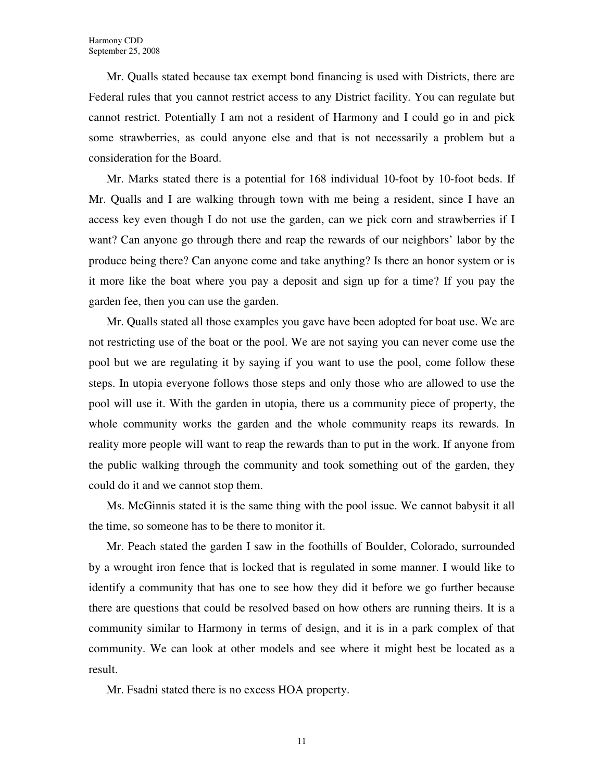Mr. Qualls stated because tax exempt bond financing is used with Districts, there are Federal rules that you cannot restrict access to any District facility. You can regulate but cannot restrict. Potentially I am not a resident of Harmony and I could go in and pick some strawberries, as could anyone else and that is not necessarily a problem but a consideration for the Board.

Mr. Marks stated there is a potential for 168 individual 10-foot by 10-foot beds. If Mr. Qualls and I are walking through town with me being a resident, since I have an access key even though I do not use the garden, can we pick corn and strawberries if I want? Can anyone go through there and reap the rewards of our neighbors' labor by the produce being there? Can anyone come and take anything? Is there an honor system or is it more like the boat where you pay a deposit and sign up for a time? If you pay the garden fee, then you can use the garden.

Mr. Qualls stated all those examples you gave have been adopted for boat use. We are not restricting use of the boat or the pool. We are not saying you can never come use the pool but we are regulating it by saying if you want to use the pool, come follow these steps. In utopia everyone follows those steps and only those who are allowed to use the pool will use it. With the garden in utopia, there us a community piece of property, the whole community works the garden and the whole community reaps its rewards. In reality more people will want to reap the rewards than to put in the work. If anyone from the public walking through the community and took something out of the garden, they could do it and we cannot stop them.

Ms. McGinnis stated it is the same thing with the pool issue. We cannot babysit it all the time, so someone has to be there to monitor it.

Mr. Peach stated the garden I saw in the foothills of Boulder, Colorado, surrounded by a wrought iron fence that is locked that is regulated in some manner. I would like to identify a community that has one to see how they did it before we go further because there are questions that could be resolved based on how others are running theirs. It is a community similar to Harmony in terms of design, and it is in a park complex of that community. We can look at other models and see where it might best be located as a result.

Mr. Fsadni stated there is no excess HOA property.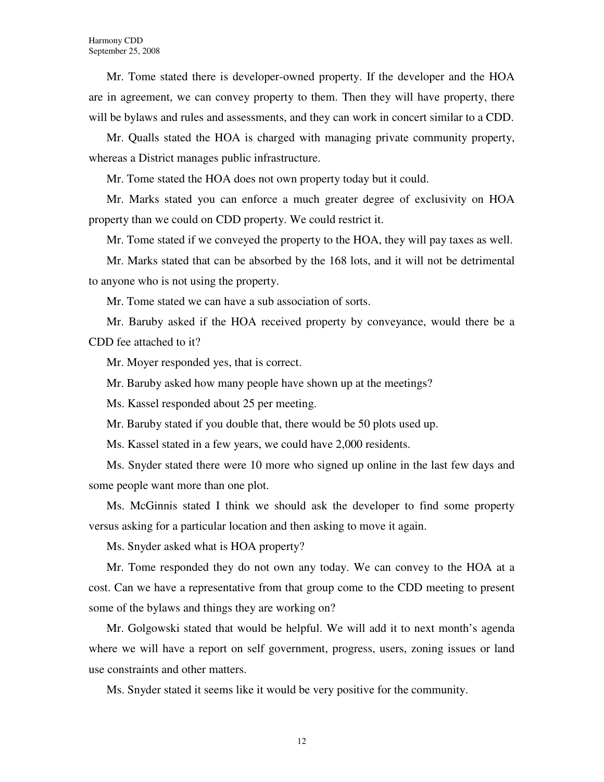Mr. Tome stated there is developer-owned property. If the developer and the HOA are in agreement, we can convey property to them. Then they will have property, there will be bylaws and rules and assessments, and they can work in concert similar to a CDD.

Mr. Qualls stated the HOA is charged with managing private community property, whereas a District manages public infrastructure.

Mr. Tome stated the HOA does not own property today but it could.

Mr. Marks stated you can enforce a much greater degree of exclusivity on HOA property than we could on CDD property. We could restrict it.

Mr. Tome stated if we conveyed the property to the HOA, they will pay taxes as well.

Mr. Marks stated that can be absorbed by the 168 lots, and it will not be detrimental to anyone who is not using the property.

Mr. Tome stated we can have a sub association of sorts.

Mr. Baruby asked if the HOA received property by conveyance, would there be a CDD fee attached to it?

Mr. Moyer responded yes, that is correct.

Mr. Baruby asked how many people have shown up at the meetings?

Ms. Kassel responded about 25 per meeting.

Mr. Baruby stated if you double that, there would be 50 plots used up.

Ms. Kassel stated in a few years, we could have 2,000 residents.

Ms. Snyder stated there were 10 more who signed up online in the last few days and some people want more than one plot.

Ms. McGinnis stated I think we should ask the developer to find some property versus asking for a particular location and then asking to move it again.

Ms. Snyder asked what is HOA property?

Mr. Tome responded they do not own any today. We can convey to the HOA at a cost. Can we have a representative from that group come to the CDD meeting to present some of the bylaws and things they are working on?

Mr. Golgowski stated that would be helpful. We will add it to next month's agenda where we will have a report on self government, progress, users, zoning issues or land use constraints and other matters.

Ms. Snyder stated it seems like it would be very positive for the community.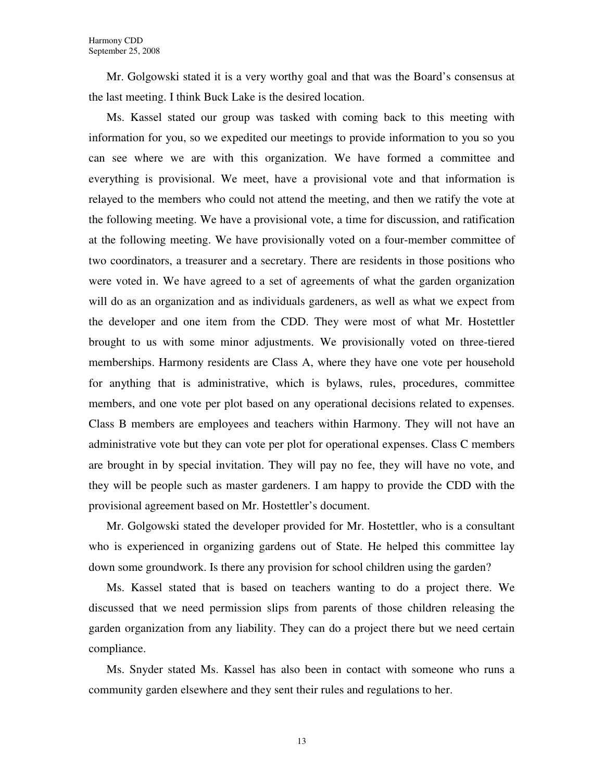Mr. Golgowski stated it is a very worthy goal and that was the Board's consensus at the last meeting. I think Buck Lake is the desired location.

Ms. Kassel stated our group was tasked with coming back to this meeting with information for you, so we expedited our meetings to provide information to you so you can see where we are with this organization. We have formed a committee and everything is provisional. We meet, have a provisional vote and that information is relayed to the members who could not attend the meeting, and then we ratify the vote at the following meeting. We have a provisional vote, a time for discussion, and ratification at the following meeting. We have provisionally voted on a four-member committee of two coordinators, a treasurer and a secretary. There are residents in those positions who were voted in. We have agreed to a set of agreements of what the garden organization will do as an organization and as individuals gardeners, as well as what we expect from the developer and one item from the CDD. They were most of what Mr. Hostettler brought to us with some minor adjustments. We provisionally voted on three-tiered memberships. Harmony residents are Class A, where they have one vote per household for anything that is administrative, which is bylaws, rules, procedures, committee members, and one vote per plot based on any operational decisions related to expenses. Class B members are employees and teachers within Harmony. They will not have an administrative vote but they can vote per plot for operational expenses. Class C members are brought in by special invitation. They will pay no fee, they will have no vote, and they will be people such as master gardeners. I am happy to provide the CDD with the provisional agreement based on Mr. Hostettler's document.

Mr. Golgowski stated the developer provided for Mr. Hostettler, who is a consultant who is experienced in organizing gardens out of State. He helped this committee lay down some groundwork. Is there any provision for school children using the garden?

Ms. Kassel stated that is based on teachers wanting to do a project there. We discussed that we need permission slips from parents of those children releasing the garden organization from any liability. They can do a project there but we need certain compliance.

Ms. Snyder stated Ms. Kassel has also been in contact with someone who runs a community garden elsewhere and they sent their rules and regulations to her.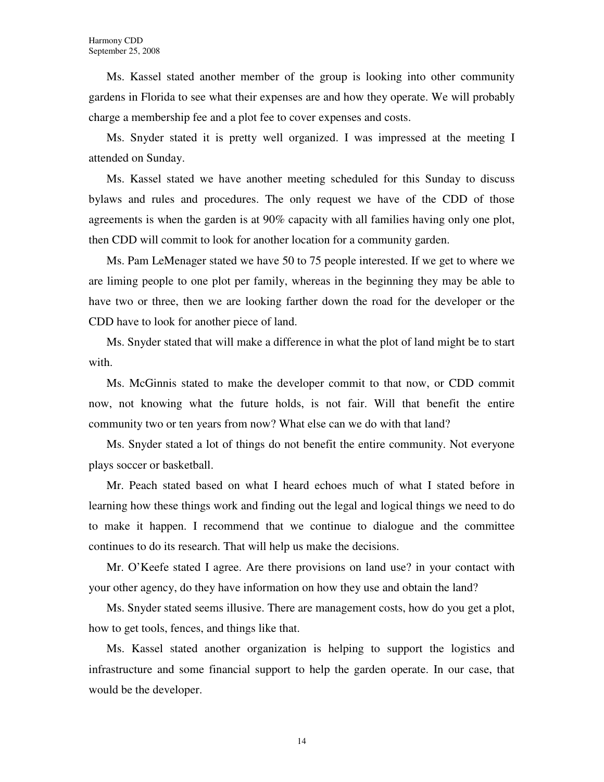Ms. Kassel stated another member of the group is looking into other community gardens in Florida to see what their expenses are and how they operate. We will probably charge a membership fee and a plot fee to cover expenses and costs.

Ms. Snyder stated it is pretty well organized. I was impressed at the meeting I attended on Sunday.

Ms. Kassel stated we have another meeting scheduled for this Sunday to discuss bylaws and rules and procedures. The only request we have of the CDD of those agreements is when the garden is at 90% capacity with all families having only one plot, then CDD will commit to look for another location for a community garden.

Ms. Pam LeMenager stated we have 50 to 75 people interested. If we get to where we are liming people to one plot per family, whereas in the beginning they may be able to have two or three, then we are looking farther down the road for the developer or the CDD have to look for another piece of land.

Ms. Snyder stated that will make a difference in what the plot of land might be to start with.

Ms. McGinnis stated to make the developer commit to that now, or CDD commit now, not knowing what the future holds, is not fair. Will that benefit the entire community two or ten years from now? What else can we do with that land?

Ms. Snyder stated a lot of things do not benefit the entire community. Not everyone plays soccer or basketball.

Mr. Peach stated based on what I heard echoes much of what I stated before in learning how these things work and finding out the legal and logical things we need to do to make it happen. I recommend that we continue to dialogue and the committee continues to do its research. That will help us make the decisions.

Mr. O'Keefe stated I agree. Are there provisions on land use? in your contact with your other agency, do they have information on how they use and obtain the land?

Ms. Snyder stated seems illusive. There are management costs, how do you get a plot, how to get tools, fences, and things like that.

Ms. Kassel stated another organization is helping to support the logistics and infrastructure and some financial support to help the garden operate. In our case, that would be the developer.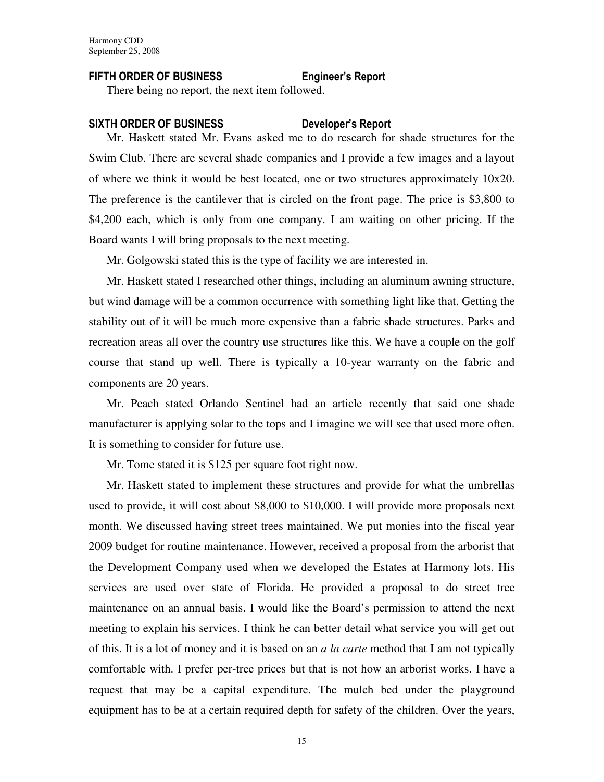# FIFTH ORDER OF BUSINESS Engineer's Report

There being no report, the next item followed.

#### SIXTH ORDER OF BUSINESS Developer's Report

Mr. Haskett stated Mr. Evans asked me to do research for shade structures for the Swim Club. There are several shade companies and I provide a few images and a layout of where we think it would be best located, one or two structures approximately 10x20. The preference is the cantilever that is circled on the front page. The price is \$3,800 to \$4,200 each, which is only from one company. I am waiting on other pricing. If the Board wants I will bring proposals to the next meeting.

Mr. Golgowski stated this is the type of facility we are interested in.

Mr. Haskett stated I researched other things, including an aluminum awning structure, but wind damage will be a common occurrence with something light like that. Getting the stability out of it will be much more expensive than a fabric shade structures. Parks and recreation areas all over the country use structures like this. We have a couple on the golf course that stand up well. There is typically a 10-year warranty on the fabric and components are 20 years.

Mr. Peach stated Orlando Sentinel had an article recently that said one shade manufacturer is applying solar to the tops and I imagine we will see that used more often. It is something to consider for future use.

Mr. Tome stated it is \$125 per square foot right now.

Mr. Haskett stated to implement these structures and provide for what the umbrellas used to provide, it will cost about \$8,000 to \$10,000. I will provide more proposals next month. We discussed having street trees maintained. We put monies into the fiscal year 2009 budget for routine maintenance. However, received a proposal from the arborist that the Development Company used when we developed the Estates at Harmony lots. His services are used over state of Florida. He provided a proposal to do street tree maintenance on an annual basis. I would like the Board's permission to attend the next meeting to explain his services. I think he can better detail what service you will get out of this. It is a lot of money and it is based on an *a la carte* method that I am not typically comfortable with. I prefer per-tree prices but that is not how an arborist works. I have a request that may be a capital expenditure. The mulch bed under the playground equipment has to be at a certain required depth for safety of the children. Over the years,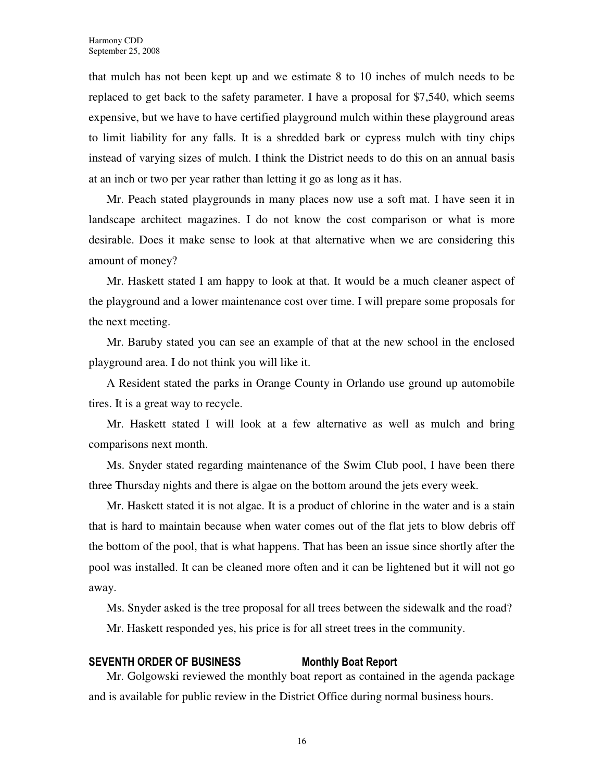that mulch has not been kept up and we estimate 8 to 10 inches of mulch needs to be replaced to get back to the safety parameter. I have a proposal for \$7,540, which seems expensive, but we have to have certified playground mulch within these playground areas to limit liability for any falls. It is a shredded bark or cypress mulch with tiny chips instead of varying sizes of mulch. I think the District needs to do this on an annual basis at an inch or two per year rather than letting it go as long as it has.

Mr. Peach stated playgrounds in many places now use a soft mat. I have seen it in landscape architect magazines. I do not know the cost comparison or what is more desirable. Does it make sense to look at that alternative when we are considering this amount of money?

Mr. Haskett stated I am happy to look at that. It would be a much cleaner aspect of the playground and a lower maintenance cost over time. I will prepare some proposals for the next meeting.

Mr. Baruby stated you can see an example of that at the new school in the enclosed playground area. I do not think you will like it.

A Resident stated the parks in Orange County in Orlando use ground up automobile tires. It is a great way to recycle.

Mr. Haskett stated I will look at a few alternative as well as mulch and bring comparisons next month.

Ms. Snyder stated regarding maintenance of the Swim Club pool, I have been there three Thursday nights and there is algae on the bottom around the jets every week.

Mr. Haskett stated it is not algae. It is a product of chlorine in the water and is a stain that is hard to maintain because when water comes out of the flat jets to blow debris off the bottom of the pool, that is what happens. That has been an issue since shortly after the pool was installed. It can be cleaned more often and it can be lightened but it will not go away.

Ms. Snyder asked is the tree proposal for all trees between the sidewalk and the road? Mr. Haskett responded yes, his price is for all street trees in the community.

#### SEVENTH ORDER OF BUSINESS Monthly Boat Report

Mr. Golgowski reviewed the monthly boat report as contained in the agenda package and is available for public review in the District Office during normal business hours.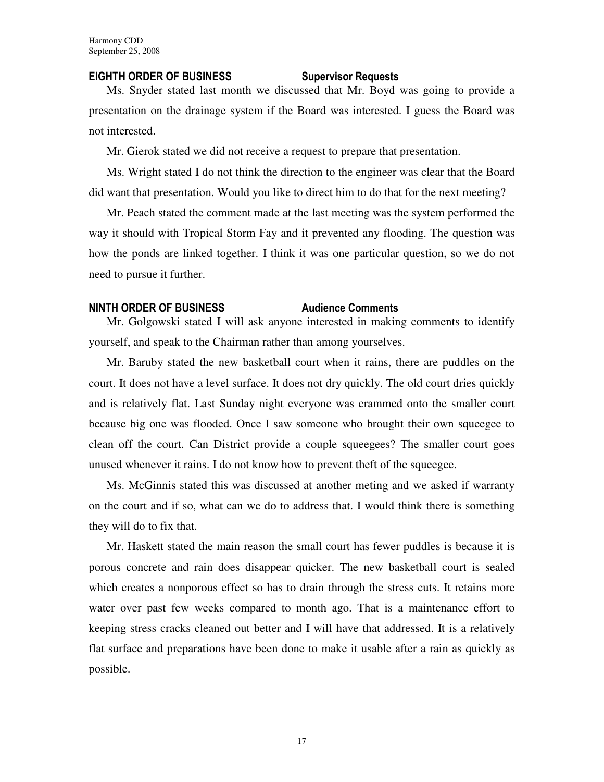#### EIGHTH ORDER OF BUSINESS Supervisor Requests

Ms. Snyder stated last month we discussed that Mr. Boyd was going to provide a presentation on the drainage system if the Board was interested. I guess the Board was not interested.

Mr. Gierok stated we did not receive a request to prepare that presentation.

Ms. Wright stated I do not think the direction to the engineer was clear that the Board did want that presentation. Would you like to direct him to do that for the next meeting?

Mr. Peach stated the comment made at the last meeting was the system performed the way it should with Tropical Storm Fay and it prevented any flooding. The question was how the ponds are linked together. I think it was one particular question, so we do not need to pursue it further.

#### NINTH ORDER OF BUSINESS Audience Comments

Mr. Golgowski stated I will ask anyone interested in making comments to identify yourself, and speak to the Chairman rather than among yourselves.

Mr. Baruby stated the new basketball court when it rains, there are puddles on the court. It does not have a level surface. It does not dry quickly. The old court dries quickly and is relatively flat. Last Sunday night everyone was crammed onto the smaller court because big one was flooded. Once I saw someone who brought their own squeegee to clean off the court. Can District provide a couple squeegees? The smaller court goes unused whenever it rains. I do not know how to prevent theft of the squeegee.

Ms. McGinnis stated this was discussed at another meting and we asked if warranty on the court and if so, what can we do to address that. I would think there is something they will do to fix that.

Mr. Haskett stated the main reason the small court has fewer puddles is because it is porous concrete and rain does disappear quicker. The new basketball court is sealed which creates a nonporous effect so has to drain through the stress cuts. It retains more water over past few weeks compared to month ago. That is a maintenance effort to keeping stress cracks cleaned out better and I will have that addressed. It is a relatively flat surface and preparations have been done to make it usable after a rain as quickly as possible.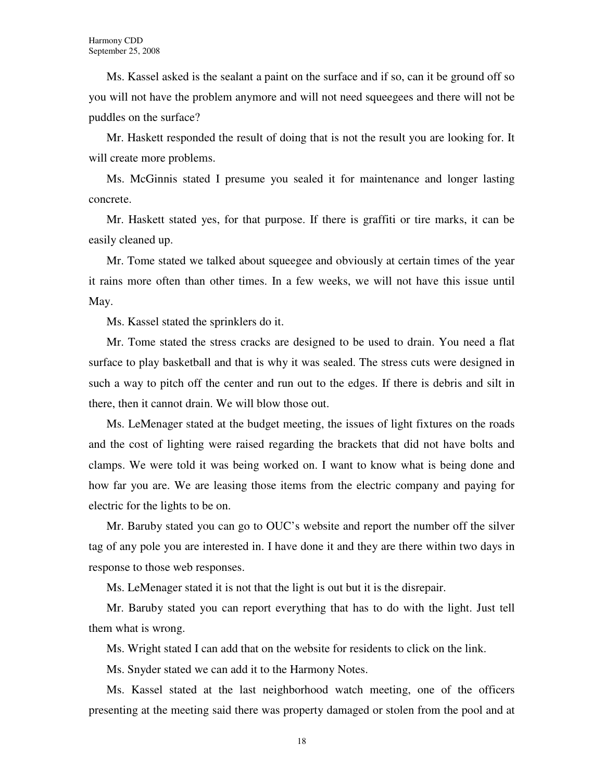Ms. Kassel asked is the sealant a paint on the surface and if so, can it be ground off so you will not have the problem anymore and will not need squeegees and there will not be puddles on the surface?

Mr. Haskett responded the result of doing that is not the result you are looking for. It will create more problems.

Ms. McGinnis stated I presume you sealed it for maintenance and longer lasting concrete.

Mr. Haskett stated yes, for that purpose. If there is graffiti or tire marks, it can be easily cleaned up.

Mr. Tome stated we talked about squeegee and obviously at certain times of the year it rains more often than other times. In a few weeks, we will not have this issue until May.

Ms. Kassel stated the sprinklers do it.

Mr. Tome stated the stress cracks are designed to be used to drain. You need a flat surface to play basketball and that is why it was sealed. The stress cuts were designed in such a way to pitch off the center and run out to the edges. If there is debris and silt in there, then it cannot drain. We will blow those out.

Ms. LeMenager stated at the budget meeting, the issues of light fixtures on the roads and the cost of lighting were raised regarding the brackets that did not have bolts and clamps. We were told it was being worked on. I want to know what is being done and how far you are. We are leasing those items from the electric company and paying for electric for the lights to be on.

Mr. Baruby stated you can go to OUC's website and report the number off the silver tag of any pole you are interested in. I have done it and they are there within two days in response to those web responses.

Ms. LeMenager stated it is not that the light is out but it is the disrepair.

Mr. Baruby stated you can report everything that has to do with the light. Just tell them what is wrong.

Ms. Wright stated I can add that on the website for residents to click on the link.

Ms. Snyder stated we can add it to the Harmony Notes.

Ms. Kassel stated at the last neighborhood watch meeting, one of the officers presenting at the meeting said there was property damaged or stolen from the pool and at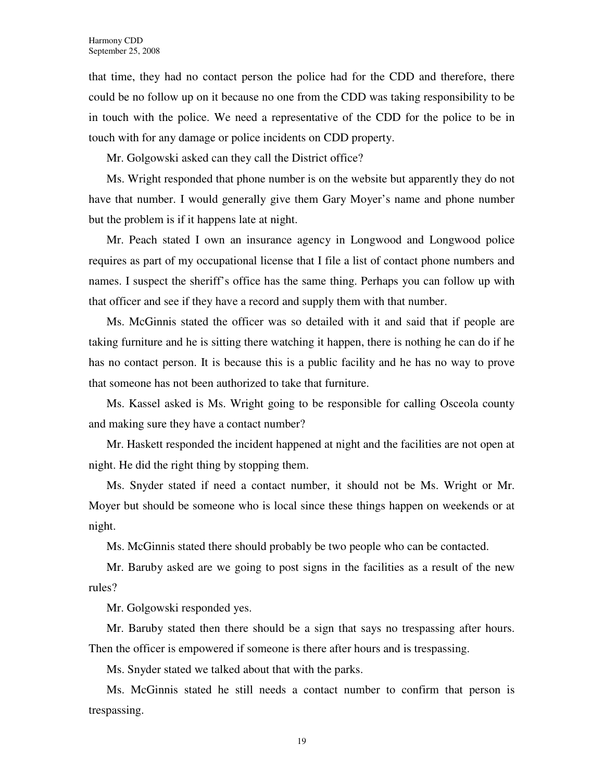that time, they had no contact person the police had for the CDD and therefore, there could be no follow up on it because no one from the CDD was taking responsibility to be in touch with the police. We need a representative of the CDD for the police to be in touch with for any damage or police incidents on CDD property.

Mr. Golgowski asked can they call the District office?

Ms. Wright responded that phone number is on the website but apparently they do not have that number. I would generally give them Gary Moyer's name and phone number but the problem is if it happens late at night.

Mr. Peach stated I own an insurance agency in Longwood and Longwood police requires as part of my occupational license that I file a list of contact phone numbers and names. I suspect the sheriff's office has the same thing. Perhaps you can follow up with that officer and see if they have a record and supply them with that number.

Ms. McGinnis stated the officer was so detailed with it and said that if people are taking furniture and he is sitting there watching it happen, there is nothing he can do if he has no contact person. It is because this is a public facility and he has no way to prove that someone has not been authorized to take that furniture.

Ms. Kassel asked is Ms. Wright going to be responsible for calling Osceola county and making sure they have a contact number?

Mr. Haskett responded the incident happened at night and the facilities are not open at night. He did the right thing by stopping them.

Ms. Snyder stated if need a contact number, it should not be Ms. Wright or Mr. Moyer but should be someone who is local since these things happen on weekends or at night.

Ms. McGinnis stated there should probably be two people who can be contacted.

Mr. Baruby asked are we going to post signs in the facilities as a result of the new rules?

Mr. Golgowski responded yes.

Mr. Baruby stated then there should be a sign that says no trespassing after hours. Then the officer is empowered if someone is there after hours and is trespassing.

Ms. Snyder stated we talked about that with the parks.

Ms. McGinnis stated he still needs a contact number to confirm that person is trespassing.

19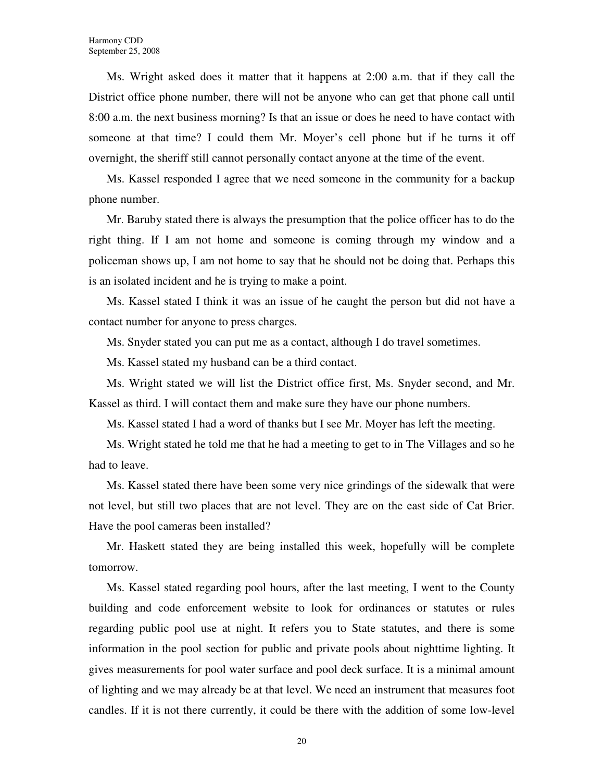Ms. Wright asked does it matter that it happens at 2:00 a.m. that if they call the District office phone number, there will not be anyone who can get that phone call until 8:00 a.m. the next business morning? Is that an issue or does he need to have contact with someone at that time? I could them Mr. Moyer's cell phone but if he turns it off overnight, the sheriff still cannot personally contact anyone at the time of the event.

Ms. Kassel responded I agree that we need someone in the community for a backup phone number.

Mr. Baruby stated there is always the presumption that the police officer has to do the right thing. If I am not home and someone is coming through my window and a policeman shows up, I am not home to say that he should not be doing that. Perhaps this is an isolated incident and he is trying to make a point.

Ms. Kassel stated I think it was an issue of he caught the person but did not have a contact number for anyone to press charges.

Ms. Snyder stated you can put me as a contact, although I do travel sometimes.

Ms. Kassel stated my husband can be a third contact.

Ms. Wright stated we will list the District office first, Ms. Snyder second, and Mr. Kassel as third. I will contact them and make sure they have our phone numbers.

Ms. Kassel stated I had a word of thanks but I see Mr. Moyer has left the meeting.

Ms. Wright stated he told me that he had a meeting to get to in The Villages and so he had to leave.

Ms. Kassel stated there have been some very nice grindings of the sidewalk that were not level, but still two places that are not level. They are on the east side of Cat Brier. Have the pool cameras been installed?

Mr. Haskett stated they are being installed this week, hopefully will be complete tomorrow.

Ms. Kassel stated regarding pool hours, after the last meeting, I went to the County building and code enforcement website to look for ordinances or statutes or rules regarding public pool use at night. It refers you to State statutes, and there is some information in the pool section for public and private pools about nighttime lighting. It gives measurements for pool water surface and pool deck surface. It is a minimal amount of lighting and we may already be at that level. We need an instrument that measures foot candles. If it is not there currently, it could be there with the addition of some low-level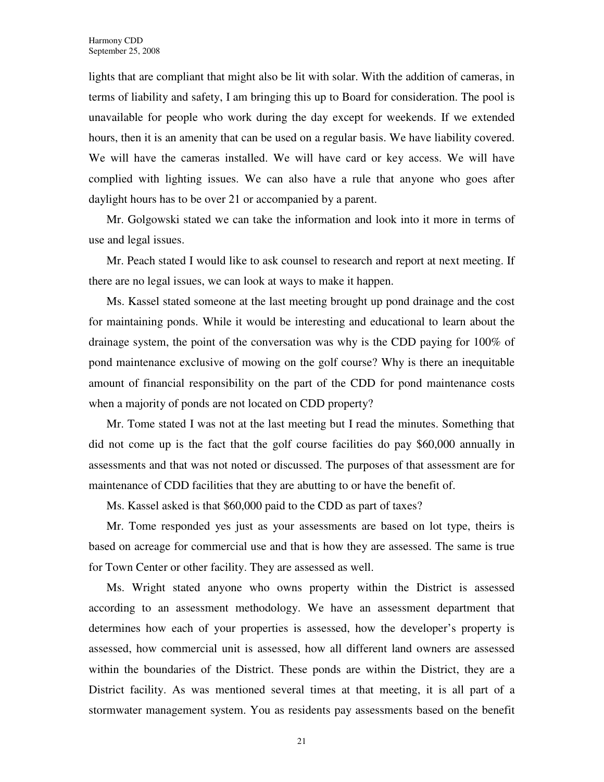lights that are compliant that might also be lit with solar. With the addition of cameras, in terms of liability and safety, I am bringing this up to Board for consideration. The pool is unavailable for people who work during the day except for weekends. If we extended hours, then it is an amenity that can be used on a regular basis. We have liability covered. We will have the cameras installed. We will have card or key access. We will have complied with lighting issues. We can also have a rule that anyone who goes after daylight hours has to be over 21 or accompanied by a parent.

Mr. Golgowski stated we can take the information and look into it more in terms of use and legal issues.

Mr. Peach stated I would like to ask counsel to research and report at next meeting. If there are no legal issues, we can look at ways to make it happen.

Ms. Kassel stated someone at the last meeting brought up pond drainage and the cost for maintaining ponds. While it would be interesting and educational to learn about the drainage system, the point of the conversation was why is the CDD paying for 100% of pond maintenance exclusive of mowing on the golf course? Why is there an inequitable amount of financial responsibility on the part of the CDD for pond maintenance costs when a majority of ponds are not located on CDD property?

Mr. Tome stated I was not at the last meeting but I read the minutes. Something that did not come up is the fact that the golf course facilities do pay \$60,000 annually in assessments and that was not noted or discussed. The purposes of that assessment are for maintenance of CDD facilities that they are abutting to or have the benefit of.

Ms. Kassel asked is that \$60,000 paid to the CDD as part of taxes?

Mr. Tome responded yes just as your assessments are based on lot type, theirs is based on acreage for commercial use and that is how they are assessed. The same is true for Town Center or other facility. They are assessed as well.

Ms. Wright stated anyone who owns property within the District is assessed according to an assessment methodology. We have an assessment department that determines how each of your properties is assessed, how the developer's property is assessed, how commercial unit is assessed, how all different land owners are assessed within the boundaries of the District. These ponds are within the District, they are a District facility. As was mentioned several times at that meeting, it is all part of a stormwater management system. You as residents pay assessments based on the benefit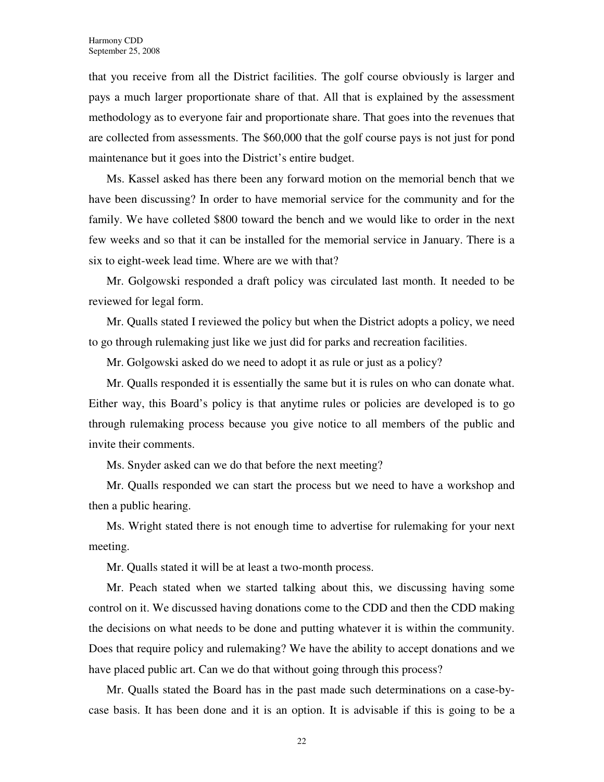that you receive from all the District facilities. The golf course obviously is larger and pays a much larger proportionate share of that. All that is explained by the assessment methodology as to everyone fair and proportionate share. That goes into the revenues that are collected from assessments. The \$60,000 that the golf course pays is not just for pond maintenance but it goes into the District's entire budget.

Ms. Kassel asked has there been any forward motion on the memorial bench that we have been discussing? In order to have memorial service for the community and for the family. We have colleted \$800 toward the bench and we would like to order in the next few weeks and so that it can be installed for the memorial service in January. There is a six to eight-week lead time. Where are we with that?

Mr. Golgowski responded a draft policy was circulated last month. It needed to be reviewed for legal form.

Mr. Qualls stated I reviewed the policy but when the District adopts a policy, we need to go through rulemaking just like we just did for parks and recreation facilities.

Mr. Golgowski asked do we need to adopt it as rule or just as a policy?

Mr. Qualls responded it is essentially the same but it is rules on who can donate what. Either way, this Board's policy is that anytime rules or policies are developed is to go through rulemaking process because you give notice to all members of the public and invite their comments.

Ms. Snyder asked can we do that before the next meeting?

Mr. Qualls responded we can start the process but we need to have a workshop and then a public hearing.

Ms. Wright stated there is not enough time to advertise for rulemaking for your next meeting.

Mr. Qualls stated it will be at least a two-month process.

Mr. Peach stated when we started talking about this, we discussing having some control on it. We discussed having donations come to the CDD and then the CDD making the decisions on what needs to be done and putting whatever it is within the community. Does that require policy and rulemaking? We have the ability to accept donations and we have placed public art. Can we do that without going through this process?

Mr. Qualls stated the Board has in the past made such determinations on a case-bycase basis. It has been done and it is an option. It is advisable if this is going to be a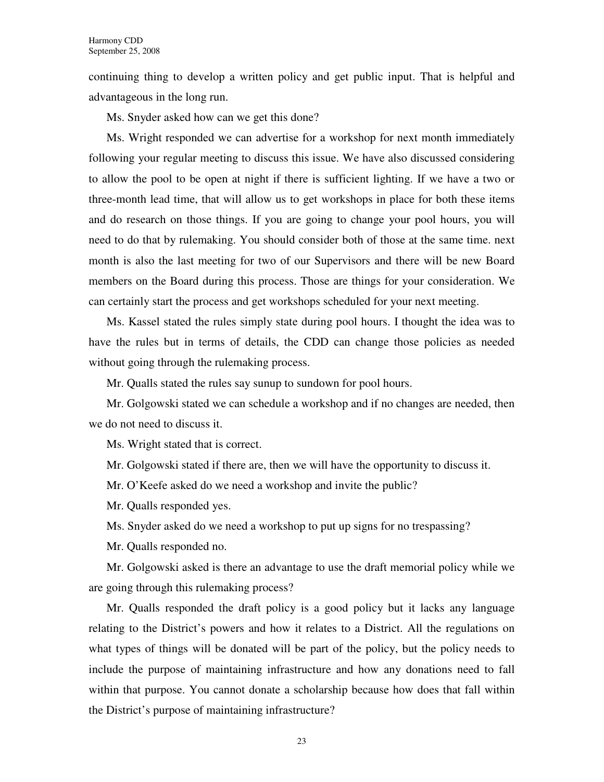continuing thing to develop a written policy and get public input. That is helpful and advantageous in the long run.

Ms. Snyder asked how can we get this done?

Ms. Wright responded we can advertise for a workshop for next month immediately following your regular meeting to discuss this issue. We have also discussed considering to allow the pool to be open at night if there is sufficient lighting. If we have a two or three-month lead time, that will allow us to get workshops in place for both these items and do research on those things. If you are going to change your pool hours, you will need to do that by rulemaking. You should consider both of those at the same time. next month is also the last meeting for two of our Supervisors and there will be new Board members on the Board during this process. Those are things for your consideration. We can certainly start the process and get workshops scheduled for your next meeting.

Ms. Kassel stated the rules simply state during pool hours. I thought the idea was to have the rules but in terms of details, the CDD can change those policies as needed without going through the rulemaking process.

Mr. Qualls stated the rules say sunup to sundown for pool hours.

Mr. Golgowski stated we can schedule a workshop and if no changes are needed, then we do not need to discuss it.

Ms. Wright stated that is correct.

Mr. Golgowski stated if there are, then we will have the opportunity to discuss it.

Mr. O'Keefe asked do we need a workshop and invite the public?

Mr. Qualls responded yes.

Ms. Snyder asked do we need a workshop to put up signs for no trespassing?

Mr. Qualls responded no.

Mr. Golgowski asked is there an advantage to use the draft memorial policy while we are going through this rulemaking process?

Mr. Qualls responded the draft policy is a good policy but it lacks any language relating to the District's powers and how it relates to a District. All the regulations on what types of things will be donated will be part of the policy, but the policy needs to include the purpose of maintaining infrastructure and how any donations need to fall within that purpose. You cannot donate a scholarship because how does that fall within the District's purpose of maintaining infrastructure?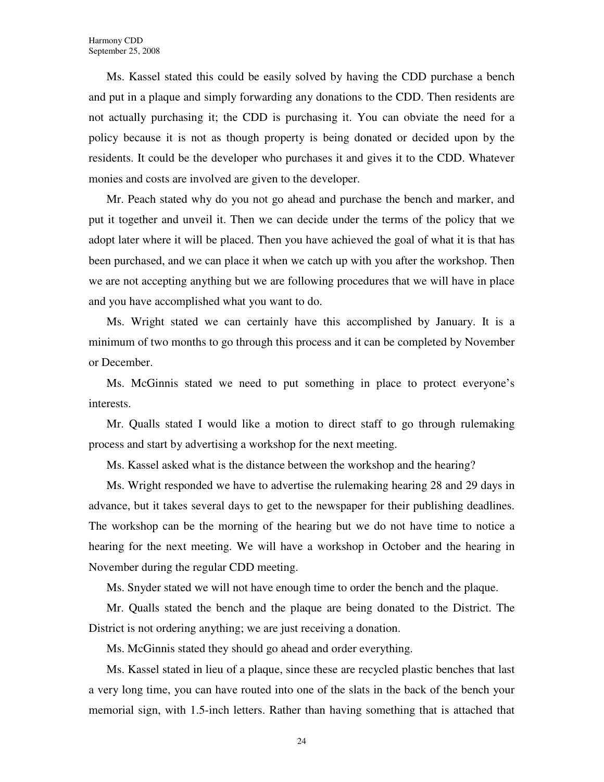Ms. Kassel stated this could be easily solved by having the CDD purchase a bench and put in a plaque and simply forwarding any donations to the CDD. Then residents are not actually purchasing it; the CDD is purchasing it. You can obviate the need for a policy because it is not as though property is being donated or decided upon by the residents. It could be the developer who purchases it and gives it to the CDD. Whatever monies and costs are involved are given to the developer.

Mr. Peach stated why do you not go ahead and purchase the bench and marker, and put it together and unveil it. Then we can decide under the terms of the policy that we adopt later where it will be placed. Then you have achieved the goal of what it is that has been purchased, and we can place it when we catch up with you after the workshop. Then we are not accepting anything but we are following procedures that we will have in place and you have accomplished what you want to do.

Ms. Wright stated we can certainly have this accomplished by January. It is a minimum of two months to go through this process and it can be completed by November or December.

Ms. McGinnis stated we need to put something in place to protect everyone's interests.

Mr. Qualls stated I would like a motion to direct staff to go through rulemaking process and start by advertising a workshop for the next meeting.

Ms. Kassel asked what is the distance between the workshop and the hearing?

Ms. Wright responded we have to advertise the rulemaking hearing 28 and 29 days in advance, but it takes several days to get to the newspaper for their publishing deadlines. The workshop can be the morning of the hearing but we do not have time to notice a hearing for the next meeting. We will have a workshop in October and the hearing in November during the regular CDD meeting.

Ms. Snyder stated we will not have enough time to order the bench and the plaque.

Mr. Qualls stated the bench and the plaque are being donated to the District. The District is not ordering anything; we are just receiving a donation.

Ms. McGinnis stated they should go ahead and order everything.

Ms. Kassel stated in lieu of a plaque, since these are recycled plastic benches that last a very long time, you can have routed into one of the slats in the back of the bench your memorial sign, with 1.5-inch letters. Rather than having something that is attached that